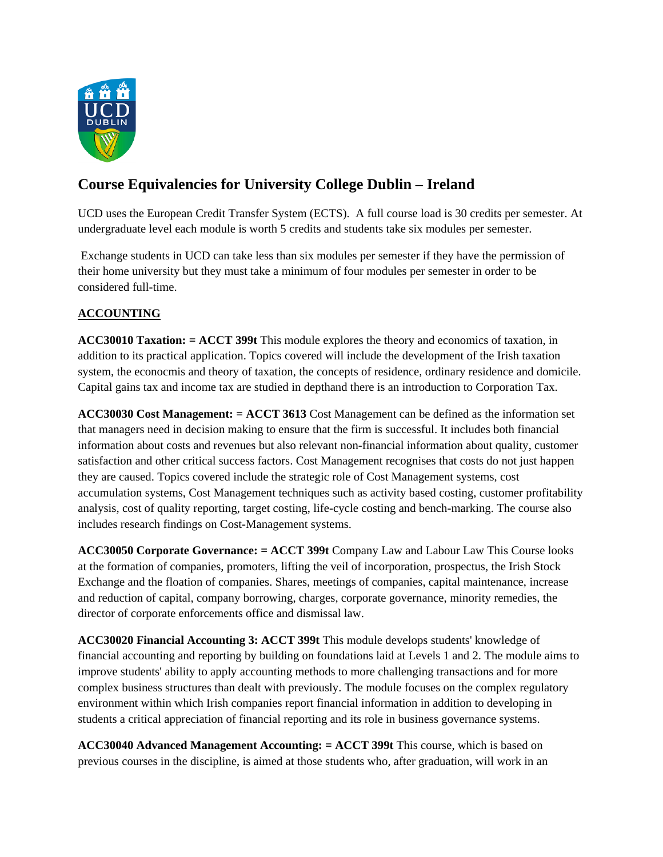

# **Course Equivalencies for University College Dublin – Ireland**

UCD uses the European Credit Transfer System (ECTS). A full course load is 30 credits per semester. At undergraduate level each module is worth 5 credits and students take six modules per semester.

 Exchange students in UCD can take less than six modules per semester if they have the permission of their home university but they must take a minimum of four modules per semester in order to be considered full-time.

# **ACCOUNTING**

**ACC30010 Taxation: = ACCT 399t** This module explores the theory and economics of taxation, in addition to its practical application. Topics covered will include the development of the Irish taxation system, the econocmis and theory of taxation, the concepts of residence, ordinary residence and domicile. Capital gains tax and income tax are studied in depthand there is an introduction to Corporation Tax.

**ACC30030 Cost Management: = ACCT 3613** Cost Management can be defined as the information set that managers need in decision making to ensure that the firm is successful. It includes both financial information about costs and revenues but also relevant non-financial information about quality, customer satisfaction and other critical success factors. Cost Management recognises that costs do not just happen they are caused. Topics covered include the strategic role of Cost Management systems, cost accumulation systems, Cost Management techniques such as activity based costing, customer profitability analysis, cost of quality reporting, target costing, life-cycle costing and bench-marking. The course also includes research findings on Cost-Management systems.

**ACC30050 Corporate Governance: = ACCT 399t** Company Law and Labour Law This Course looks at the formation of companies, promoters, lifting the veil of incorporation, prospectus, the Irish Stock Exchange and the floation of companies. Shares, meetings of companies, capital maintenance, increase and reduction of capital, company borrowing, charges, corporate governance, minority remedies, the director of corporate enforcements office and dismissal law.

**ACC30020 Financial Accounting 3: ACCT 399t** This module develops students' knowledge of financial accounting and reporting by building on foundations laid at Levels 1 and 2. The module aims to improve students' ability to apply accounting methods to more challenging transactions and for more complex business structures than dealt with previously. The module focuses on the complex regulatory environment within which Irish companies report financial information in addition to developing in students a critical appreciation of financial reporting and its role in business governance systems.

**ACC30040 Advanced Management Accounting: = ACCT 399t** This course, which is based on previous courses in the discipline, is aimed at those students who, after graduation, will work in an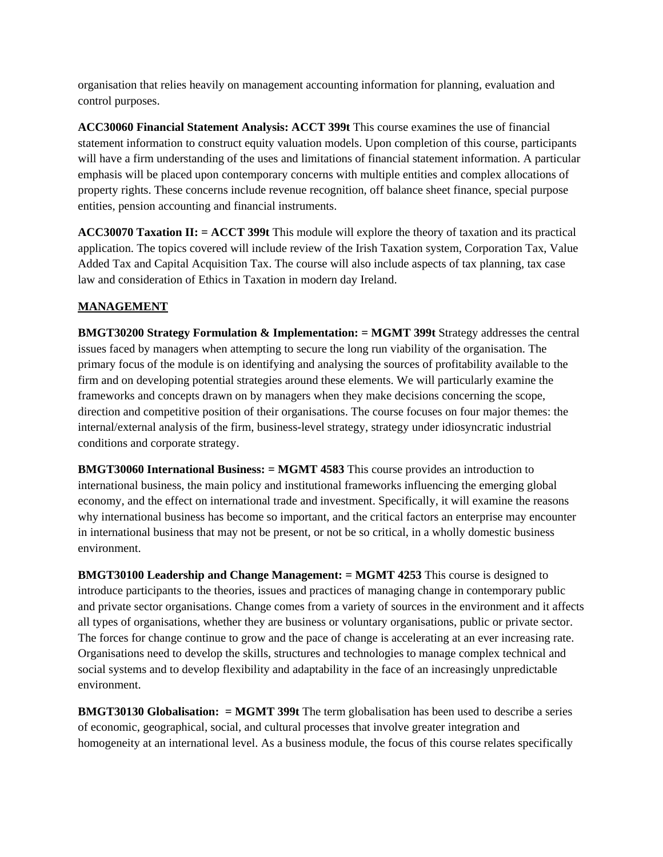organisation that relies heavily on management accounting information for planning, evaluation and control purposes.

**ACC30060 Financial Statement Analysis: ACCT 399t** This course examines the use of financial statement information to construct equity valuation models. Upon completion of this course, participants will have a firm understanding of the uses and limitations of financial statement information. A particular emphasis will be placed upon contemporary concerns with multiple entities and complex allocations of property rights. These concerns include revenue recognition, off balance sheet finance, special purpose entities, pension accounting and financial instruments.

**ACC30070 Taxation II: = ACCT 399t** This module will explore the theory of taxation and its practical application. The topics covered will include review of the Irish Taxation system, Corporation Tax, Value Added Tax and Capital Acquisition Tax. The course will also include aspects of tax planning, tax case law and consideration of Ethics in Taxation in modern day Ireland.

# **MANAGEMENT**

**BMGT30200 Strategy Formulation & Implementation: = MGMT 399t** Strategy addresses the central issues faced by managers when attempting to secure the long run viability of the organisation. The primary focus of the module is on identifying and analysing the sources of profitability available to the firm and on developing potential strategies around these elements. We will particularly examine the frameworks and concepts drawn on by managers when they make decisions concerning the scope, direction and competitive position of their organisations. The course focuses on four major themes: the internal/external analysis of the firm, business-level strategy, strategy under idiosyncratic industrial conditions and corporate strategy.

**BMGT30060 International Business: = MGMT 4583** This course provides an introduction to international business, the main policy and institutional frameworks influencing the emerging global economy, and the effect on international trade and investment. Specifically, it will examine the reasons why international business has become so important, and the critical factors an enterprise may encounter in international business that may not be present, or not be so critical, in a wholly domestic business environment.

**BMGT30100 Leadership and Change Management: = MGMT 4253** This course is designed to introduce participants to the theories, issues and practices of managing change in contemporary public and private sector organisations. Change comes from a variety of sources in the environment and it affects all types of organisations, whether they are business or voluntary organisations, public or private sector. The forces for change continue to grow and the pace of change is accelerating at an ever increasing rate. Organisations need to develop the skills, structures and technologies to manage complex technical and social systems and to develop flexibility and adaptability in the face of an increasingly unpredictable environment.

**BMGT30130 Globalisation: = MGMT 399t** The term globalisation has been used to describe a series of economic, geographical, social, and cultural processes that involve greater integration and homogeneity at an international level. As a business module, the focus of this course relates specifically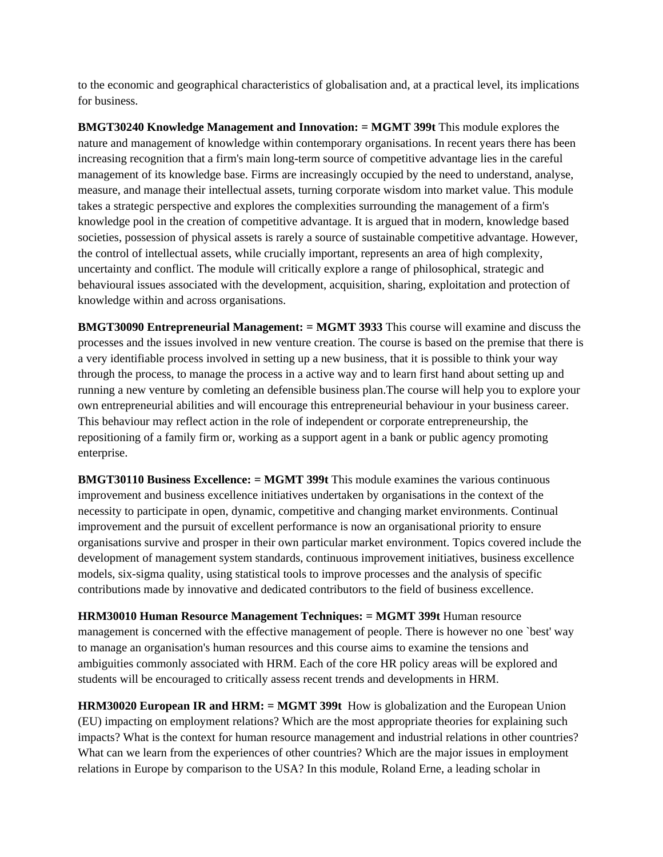to the economic and geographical characteristics of globalisation and, at a practical level, its implications for business.

**BMGT30240 Knowledge Management and Innovation: = MGMT 399t** This module explores the nature and management of knowledge within contemporary organisations. In recent years there has been increasing recognition that a firm's main long-term source of competitive advantage lies in the careful management of its knowledge base. Firms are increasingly occupied by the need to understand, analyse, measure, and manage their intellectual assets, turning corporate wisdom into market value. This module takes a strategic perspective and explores the complexities surrounding the management of a firm's knowledge pool in the creation of competitive advantage. It is argued that in modern, knowledge based societies, possession of physical assets is rarely a source of sustainable competitive advantage. However, the control of intellectual assets, while crucially important, represents an area of high complexity, uncertainty and conflict. The module will critically explore a range of philosophical, strategic and behavioural issues associated with the development, acquisition, sharing, exploitation and protection of knowledge within and across organisations.

**BMGT30090 Entrepreneurial Management: = MGMT 3933** This course will examine and discuss the processes and the issues involved in new venture creation. The course is based on the premise that there is a very identifiable process involved in setting up a new business, that it is possible to think your way through the process, to manage the process in a active way and to learn first hand about setting up and running a new venture by comleting an defensible business plan.The course will help you to explore your own entrepreneurial abilities and will encourage this entrepreneurial behaviour in your business career. This behaviour may reflect action in the role of independent or corporate entrepreneurship, the repositioning of a family firm or, working as a support agent in a bank or public agency promoting enterprise.

**BMGT30110 Business Excellence: = MGMT 399t** This module examines the various continuous improvement and business excellence initiatives undertaken by organisations in the context of the necessity to participate in open, dynamic, competitive and changing market environments. Continual improvement and the pursuit of excellent performance is now an organisational priority to ensure organisations survive and prosper in their own particular market environment. Topics covered include the development of management system standards, continuous improvement initiatives, business excellence models, six-sigma quality, using statistical tools to improve processes and the analysis of specific contributions made by innovative and dedicated contributors to the field of business excellence.

**HRM30010 Human Resource Management Techniques: = MGMT 399t** Human resource management is concerned with the effective management of people. There is however no one `best' way to manage an organisation's human resources and this course aims to examine the tensions and ambiguities commonly associated with HRM. Each of the core HR policy areas will be explored and students will be encouraged to critically assess recent trends and developments in HRM.

**HRM30020 European IR and HRM: = MGMT 399t** How is globalization and the European Union (EU) impacting on employment relations? Which are the most appropriate theories for explaining such impacts? What is the context for human resource management and industrial relations in other countries? What can we learn from the experiences of other countries? Which are the major issues in employment relations in Europe by comparison to the USA? In this module, Roland Erne, a leading scholar in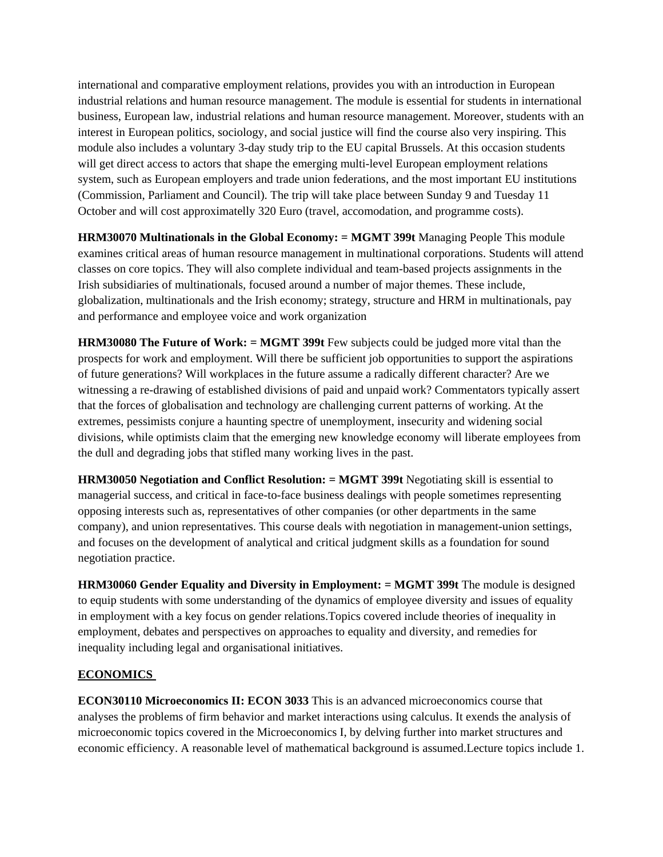international and comparative employment relations, provides you with an introduction in European industrial relations and human resource management. The module is essential for students in international business, European law, industrial relations and human resource management. Moreover, students with an interest in European politics, sociology, and social justice will find the course also very inspiring. This module also includes a voluntary 3-day study trip to the EU capital Brussels. At this occasion students will get direct access to actors that shape the emerging multi-level European employment relations system, such as European employers and trade union federations, and the most important EU institutions (Commission, Parliament and Council). The trip will take place between Sunday 9 and Tuesday 11 October and will cost approximatelly 320 Euro (travel, accomodation, and programme costs).

**HRM30070 Multinationals in the Global Economy: = MGMT 399t** Managing People This module examines critical areas of human resource management in multinational corporations. Students will attend classes on core topics. They will also complete individual and team-based projects assignments in the Irish subsidiaries of multinationals, focused around a number of major themes. These include, globalization, multinationals and the Irish economy; strategy, structure and HRM in multinationals, pay and performance and employee voice and work organization

**HRM30080 The Future of Work: = MGMT 399t** Few subjects could be judged more vital than the prospects for work and employment. Will there be sufficient job opportunities to support the aspirations of future generations? Will workplaces in the future assume a radically different character? Are we witnessing a re-drawing of established divisions of paid and unpaid work? Commentators typically assert that the forces of globalisation and technology are challenging current patterns of working. At the extremes, pessimists conjure a haunting spectre of unemployment, insecurity and widening social divisions, while optimists claim that the emerging new knowledge economy will liberate employees from the dull and degrading jobs that stifled many working lives in the past.

**HRM30050 Negotiation and Conflict Resolution: = MGMT 399t** Negotiating skill is essential to managerial success, and critical in face-to-face business dealings with people sometimes representing opposing interests such as, representatives of other companies (or other departments in the same company), and union representatives. This course deals with negotiation in management-union settings, and focuses on the development of analytical and critical judgment skills as a foundation for sound negotiation practice.

**HRM30060 Gender Equality and Diversity in Employment: = MGMT 399t** The module is designed to equip students with some understanding of the dynamics of employee diversity and issues of equality in employment with a key focus on gender relations.Topics covered include theories of inequality in employment, debates and perspectives on approaches to equality and diversity, and remedies for inequality including legal and organisational initiatives.

# **ECONOMICS**

**ECON30110 Microeconomics II: ECON 3033** This is an advanced microeconomics course that analyses the problems of firm behavior and market interactions using calculus. It exends the analysis of microeconomic topics covered in the Microeconomics I, by delving further into market structures and economic efficiency. A reasonable level of mathematical background is assumed.Lecture topics include 1.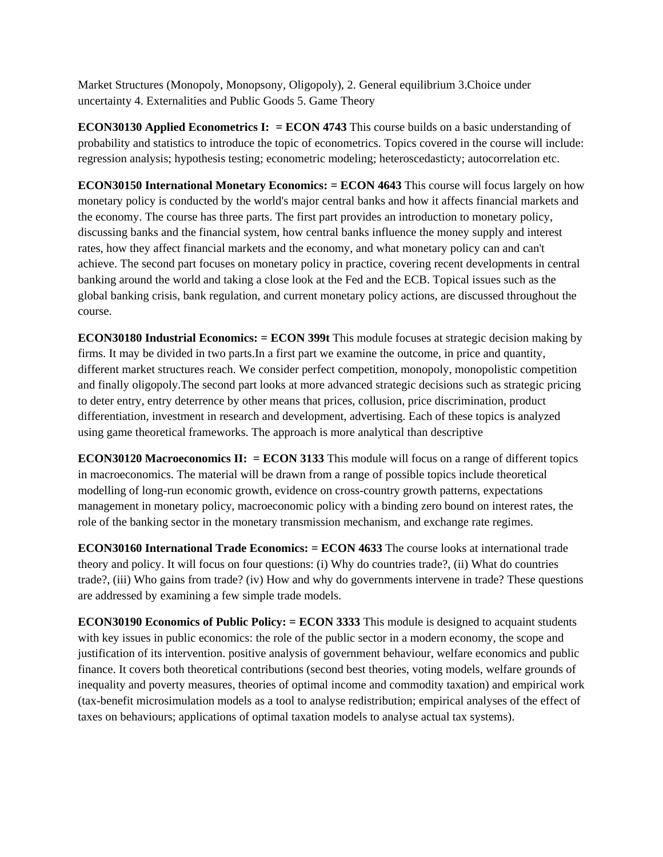Market Structures (Monopoly, Monopsony, Oligopoly), 2. General equilibrium 3.Choice under uncertainty 4. Externalities and Public Goods 5. Game Theory

**ECON30130 Applied Econometrics I: = ECON 4743** This course builds on a basic understanding of probability and statistics to introduce the topic of econometrics. Topics covered in the course will include: regression analysis; hypothesis testing; econometric modeling; heteroscedasticty; autocorrelation etc.

**ECON30150 International Monetary Economics: = ECON 4643** This course will focus largely on how monetary policy is conducted by the world's major central banks and how it affects financial markets and the economy. The course has three parts. The first part provides an introduction to monetary policy, discussing banks and the financial system, how central banks influence the money supply and interest rates, how they affect financial markets and the economy, and what monetary policy can and can't achieve. The second part focuses on monetary policy in practice, covering recent developments in central banking around the world and taking a close look at the Fed and the ECB. Topical issues such as the global banking crisis, bank regulation, and current monetary policy actions, are discussed throughout the course.

**ECON30180 Industrial Economics: = ECON 399t** This module focuses at strategic decision making by firms. It may be divided in two parts.In a first part we examine the outcome, in price and quantity, different market structures reach. We consider perfect competition, monopoly, monopolistic competition and finally oligopoly.The second part looks at more advanced strategic decisions such as strategic pricing to deter entry, entry deterrence by other means that prices, collusion, price discrimination, product differentiation, investment in research and development, advertising. Each of these topics is analyzed using game theoretical frameworks. The approach is more analytical than descriptive

**ECON30120 Macroeconomics II: = ECON 3133** This module will focus on a range of different topics in macroeconomics. The material will be drawn from a range of possible topics include theoretical modelling of long-run economic growth, evidence on cross-country growth patterns, expectations management in monetary policy, macroeconomic policy with a binding zero bound on interest rates, the role of the banking sector in the monetary transmission mechanism, and exchange rate regimes.

**ECON30160 International Trade Economics: = ECON 4633** The course looks at international trade theory and policy. It will focus on four questions: (i) Why do countries trade?, (ii) What do countries trade?, (iii) Who gains from trade? (iv) How and why do governments intervene in trade? These questions are addressed by examining a few simple trade models.

**ECON30190 Economics of Public Policy: = ECON 3333** This module is designed to acquaint students with key issues in public economics: the role of the public sector in a modern economy, the scope and justification of its intervention. positive analysis of government behaviour, welfare economics and public finance. It covers both theoretical contributions (second best theories, voting models, welfare grounds of inequality and poverty measures, theories of optimal income and commodity taxation) and empirical work (tax-benefit microsimulation models as a tool to analyse redistribution; empirical analyses of the effect of taxes on behaviours; applications of optimal taxation models to analyse actual tax systems).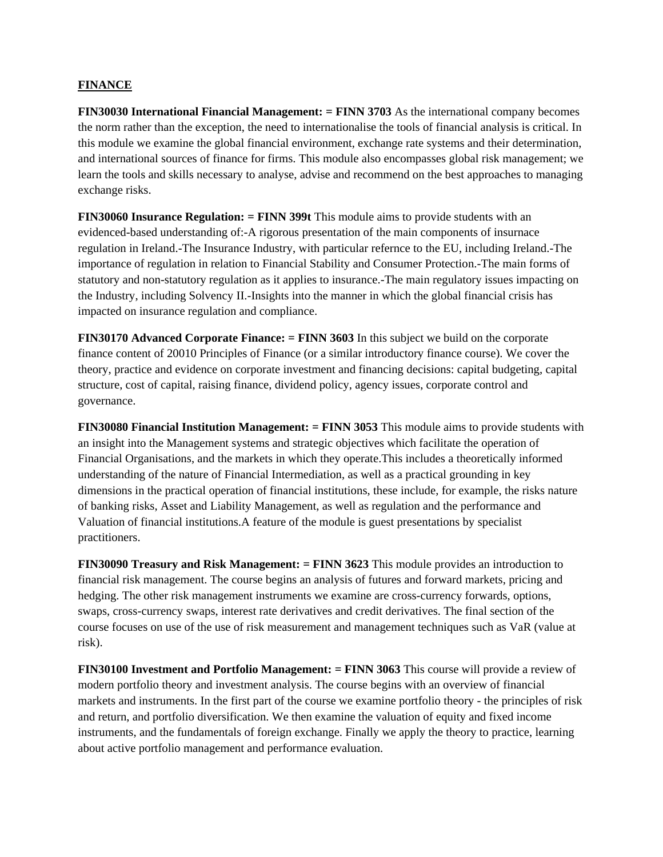#### **FINANCE**

**FIN30030 International Financial Management: = FINN 3703** As the international company becomes the norm rather than the exception, the need to internationalise the tools of financial analysis is critical. In this module we examine the global financial environment, exchange rate systems and their determination, and international sources of finance for firms. This module also encompasses global risk management; we learn the tools and skills necessary to analyse, advise and recommend on the best approaches to managing exchange risks.

**FIN30060 Insurance Regulation: = FINN 399t** This module aims to provide students with an evidenced-based understanding of:-A rigorous presentation of the main components of insurnace regulation in Ireland.-The Insurance Industry, with particular refernce to the EU, including Ireland.-The importance of regulation in relation to Financial Stability and Consumer Protection.-The main forms of statutory and non-statutory regulation as it applies to insurance.-The main regulatory issues impacting on the Industry, including Solvency II.-Insights into the manner in which the global financial crisis has impacted on insurance regulation and compliance.

**FIN30170 Advanced Corporate Finance: = FINN 3603** In this subject we build on the corporate finance content of 20010 Principles of Finance (or a similar introductory finance course). We cover the theory, practice and evidence on corporate investment and financing decisions: capital budgeting, capital structure, cost of capital, raising finance, dividend policy, agency issues, corporate control and governance.

**FIN30080 Financial Institution Management: = FINN 3053** This module aims to provide students with an insight into the Management systems and strategic objectives which facilitate the operation of Financial Organisations, and the markets in which they operate.This includes a theoretically informed understanding of the nature of Financial Intermediation, as well as a practical grounding in key dimensions in the practical operation of financial institutions, these include, for example, the risks nature of banking risks, Asset and Liability Management, as well as regulation and the performance and Valuation of financial institutions.A feature of the module is guest presentations by specialist practitioners.

**FIN30090 Treasury and Risk Management: = FINN 3623** This module provides an introduction to financial risk management. The course begins an analysis of futures and forward markets, pricing and hedging. The other risk management instruments we examine are cross-currency forwards, options, swaps, cross-currency swaps, interest rate derivatives and credit derivatives. The final section of the course focuses on use of the use of risk measurement and management techniques such as VaR (value at risk).

**FIN30100 Investment and Portfolio Management: = FINN 3063** This course will provide a review of modern portfolio theory and investment analysis. The course begins with an overview of financial markets and instruments. In the first part of the course we examine portfolio theory - the principles of risk and return, and portfolio diversification. We then examine the valuation of equity and fixed income instruments, and the fundamentals of foreign exchange. Finally we apply the theory to practice, learning about active portfolio management and performance evaluation.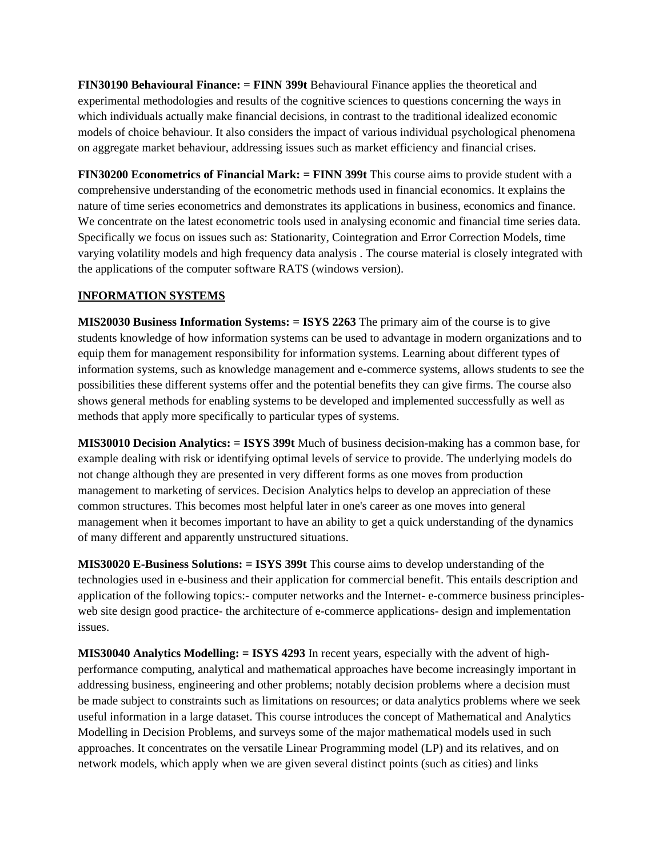**FIN30190 Behavioural Finance: = FINN 399t** Behavioural Finance applies the theoretical and experimental methodologies and results of the cognitive sciences to questions concerning the ways in which individuals actually make financial decisions, in contrast to the traditional idealized economic models of choice behaviour. It also considers the impact of various individual psychological phenomena on aggregate market behaviour, addressing issues such as market efficiency and financial crises.

**FIN30200 Econometrics of Financial Mark: = FINN 399t** This course aims to provide student with a comprehensive understanding of the econometric methods used in financial economics. It explains the nature of time series econometrics and demonstrates its applications in business, economics and finance. We concentrate on the latest econometric tools used in analysing economic and financial time series data. Specifically we focus on issues such as: Stationarity, Cointegration and Error Correction Models, time varying volatility models and high frequency data analysis . The course material is closely integrated with the applications of the computer software RATS (windows version).

# **INFORMATION SYSTEMS**

**MIS20030 Business Information Systems: = ISYS 2263** The primary aim of the course is to give students knowledge of how information systems can be used to advantage in modern organizations and to equip them for management responsibility for information systems. Learning about different types of information systems, such as knowledge management and e-commerce systems, allows students to see the possibilities these different systems offer and the potential benefits they can give firms. The course also shows general methods for enabling systems to be developed and implemented successfully as well as methods that apply more specifically to particular types of systems.

**MIS30010 Decision Analytics: = ISYS 399t** Much of business decision-making has a common base, for example dealing with risk or identifying optimal levels of service to provide. The underlying models do not change although they are presented in very different forms as one moves from production management to marketing of services. Decision Analytics helps to develop an appreciation of these common structures. This becomes most helpful later in one's career as one moves into general management when it becomes important to have an ability to get a quick understanding of the dynamics of many different and apparently unstructured situations.

**MIS30020 E-Business Solutions: = ISYS 399t** This course aims to develop understanding of the technologies used in e-business and their application for commercial benefit. This entails description and application of the following topics:- computer networks and the Internet- e-commerce business principlesweb site design good practice- the architecture of e-commerce applications- design and implementation issues.

**MIS30040 Analytics Modelling: = ISYS 4293** In recent years, especially with the advent of highperformance computing, analytical and mathematical approaches have become increasingly important in addressing business, engineering and other problems; notably decision problems where a decision must be made subject to constraints such as limitations on resources; or data analytics problems where we seek useful information in a large dataset. This course introduces the concept of Mathematical and Analytics Modelling in Decision Problems, and surveys some of the major mathematical models used in such approaches. It concentrates on the versatile Linear Programming model (LP) and its relatives, and on network models, which apply when we are given several distinct points (such as cities) and links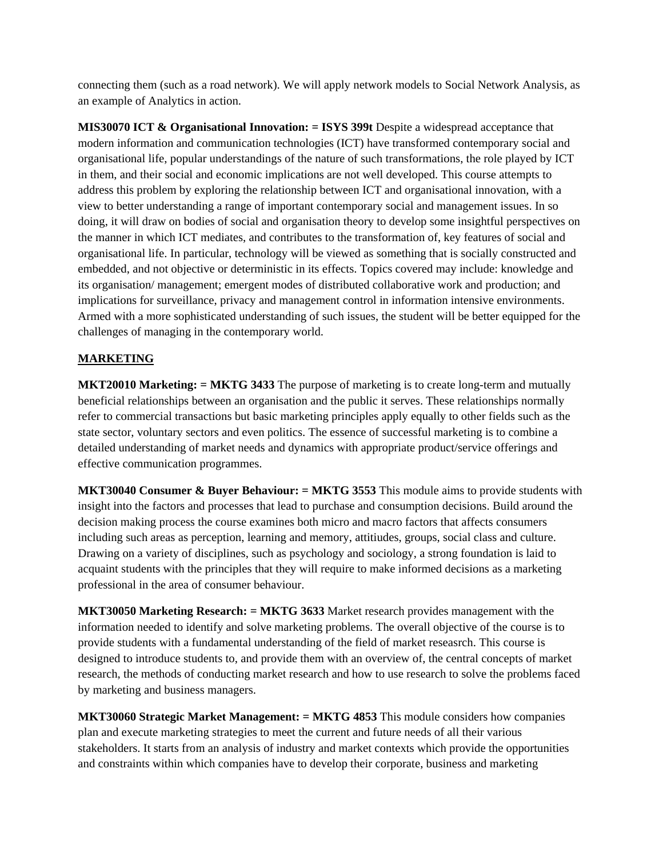connecting them (such as a road network). We will apply network models to Social Network Analysis, as an example of Analytics in action.

**MIS30070 ICT & Organisational Innovation: = ISYS 399t** Despite a widespread acceptance that modern information and communication technologies (ICT) have transformed contemporary social and organisational life, popular understandings of the nature of such transformations, the role played by ICT in them, and their social and economic implications are not well developed. This course attempts to address this problem by exploring the relationship between ICT and organisational innovation, with a view to better understanding a range of important contemporary social and management issues. In so doing, it will draw on bodies of social and organisation theory to develop some insightful perspectives on the manner in which ICT mediates, and contributes to the transformation of, key features of social and organisational life. In particular, technology will be viewed as something that is socially constructed and embedded, and not objective or deterministic in its effects. Topics covered may include: knowledge and its organisation/ management; emergent modes of distributed collaborative work and production; and implications for surveillance, privacy and management control in information intensive environments. Armed with a more sophisticated understanding of such issues, the student will be better equipped for the challenges of managing in the contemporary world.

# **MARKETING**

**MKT20010 Marketing: = MKTG 3433** The purpose of marketing is to create long-term and mutually beneficial relationships between an organisation and the public it serves. These relationships normally refer to commercial transactions but basic marketing principles apply equally to other fields such as the state sector, voluntary sectors and even politics. The essence of successful marketing is to combine a detailed understanding of market needs and dynamics with appropriate product/service offerings and effective communication programmes.

**MKT30040 Consumer & Buyer Behaviour: = MKTG 3553** This module aims to provide students with insight into the factors and processes that lead to purchase and consumption decisions. Build around the decision making process the course examines both micro and macro factors that affects consumers including such areas as perception, learning and memory, attitiudes, groups, social class and culture. Drawing on a variety of disciplines, such as psychology and sociology, a strong foundation is laid to acquaint students with the principles that they will require to make informed decisions as a marketing professional in the area of consumer behaviour.

**MKT30050 Marketing Research: = MKTG 3633** Market research provides management with the information needed to identify and solve marketing problems. The overall objective of the course is to provide students with a fundamental understanding of the field of market reseasrch. This course is designed to introduce students to, and provide them with an overview of, the central concepts of market research, the methods of conducting market research and how to use research to solve the problems faced by marketing and business managers.

**MKT30060 Strategic Market Management: = MKTG 4853** This module considers how companies plan and execute marketing strategies to meet the current and future needs of all their various stakeholders. It starts from an analysis of industry and market contexts which provide the opportunities and constraints within which companies have to develop their corporate, business and marketing